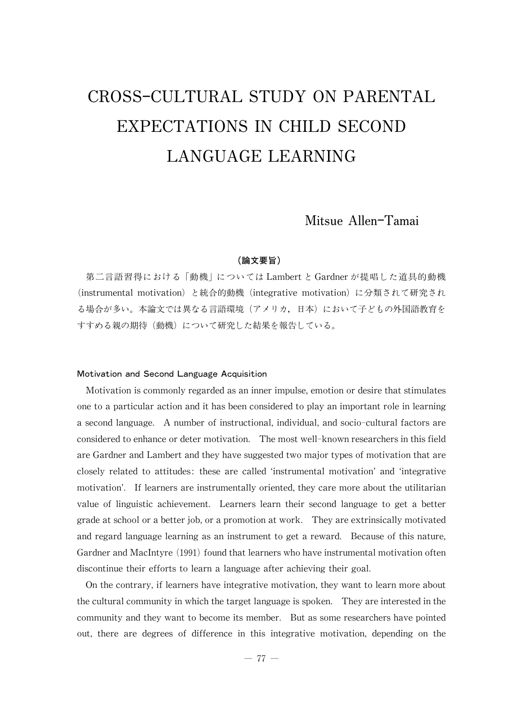# CROSS-CULTURAL STUDY ON PARENTAL EXPECTATIONS IN CHILD SECOND LANGUAGE LEARNING

# Mitsue Allen-Tamai

# (論文要旨)

第二言語習得における「動機」については Lambertと Gardnerが提唱した道具的動機 (instrumental motivation) と統合的動機 (integrative motivation) に分類されて研究され る場合が多い。本論文では異なる言語環境(アメリカ,日本)において子どもの外国語教育を すすめる親の期待(動機)について研究した結果を報告している。

#### Motivation and Second Language Acquisition

Motivation is commonly regarded as an inner impulse, emotion or desire that stimulates one to a particular action and it has been considered to play an important role in learning a second language. A number of instructional, individual,and socio-cultural factors are considered to enhance or deter motivation. The most well-known researchers in this field are Gardner and Lambert and they have suggested two major types of motivation that are closely related to attitudes: these are called ʻinstrumental motivation'and ʻintegrative motivation'. If learners are instrumentally oriented, they care more about the utilitarian value of linguistic achievement. Learners learn their second language to get a better grade at school or a better job, or a promotion at work. They are extrinsically motivated and regard language learning as an instrument to get a reward. Because of this nature, Gardner and MacIntyre (1991) found that learners who have instrumental motivation often discontinue their efforts to learn a language after achieving their goal.

On the contrary, if learners have integrative motivation, they want to learn more about the cultural community in which the target language is spoken. They are interested in the communityand theywant to become its member. But as some researchers have pointed out, there are degrees of difference in this integrative motivation, depending on the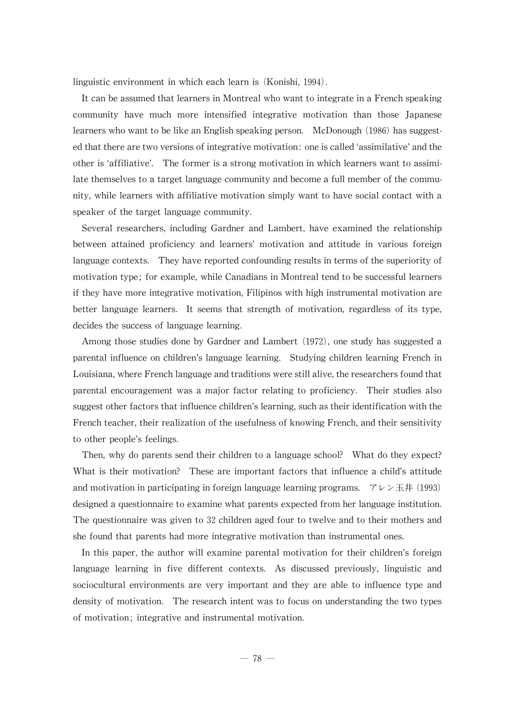linguistic environment in which each learn is (Konishi, 1994).

It can be assumed that learners in Montreal who want to integrate in a French speaking community have much more intensified integrative motivation than those Japanese learners who want to be like an English speaking person. McDonough (1986) has suggested that there are two versions of integrative motivation: one is called 'assimilative' and the other is ʻaffiliative'. The former is a strong motivation in which learners want to assimilate themselves to a target language community and become a full member of the community, while learners with affiliative motivation simply want to have social contact with a speaker of the target language community.

Several researchers, including Gardner and Lambert, have examined the relationship between attained proficiency and learners'motivation and attitude in various foreign language contexts. They have reported confounding results in terms of the superiority of motivation type; for example, while Canadians in Montreal tend to be successful learners if they have more integrative motivation, Filipinos with high instrumental motivation are better language learners. It seems that strength of motivation, regardless of its type, decides the success of language learning.

Among those studies done by Gardner and Lambert (1972), one study has suggested a parental influence on children's language learning. Studying children learning French in Louisiana, where French language and traditions were still alive, the researchers found that parental encouragement was a major factor relating to proficiency. Their studies also suggest other factors that influence children's learning, such as their identification with the French teacher, their realization of the usefulness of knowing French, and their sensitivity to other people's feelings.

Then, why do parents send their children to a language school? What do they expect? What is their motivation? These are important factors that influence a child's attitude and motivation in participating in foreign language learning programs.  $7 \nu \nu \pm \text{#}$  (1993) designed a questionnaire to examine what parents expected from her language institution. The questionnaire was given to 32 children aged four to twelve and to their mothers and she found that parents had more integrative motivation than instrumental ones.

In this paper, the author will examine parental motivation for their children's foreign language learning in five different contexts. As discussed previously, linguistic and sociocultural environments are very important and they are able to influence type and density of motivation. The research intent was to focus on understanding the two types of motivation; integrative and instrumental motivation.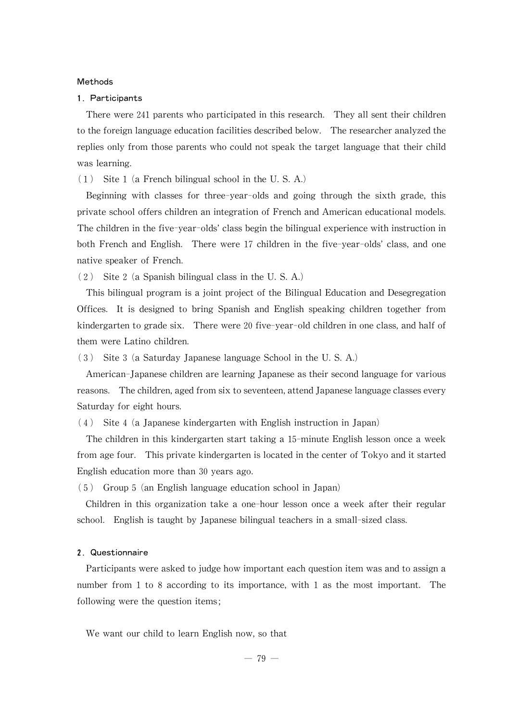#### Methods

#### 1. Participants

There were 241 parents who participated in this research. They all sent their children to the foreign language education facilities described below. The researcher analyzed the replies only from those parents who could not speak the target language that their child was learning.

(1) Site 1(a French bilingual school in the U.S.A.)

Beginning with classes for three-year-olds and going through the sixth grade, this private school offers children an integration of French and American educational models. The children in the five-year-olds' class begin the bilingual experience with instruction in both French and English. There were 17 children in the five-year-olds'class, and one native speaker of French.

(2) Site 2(a Spanish bilingual class in the U.S.A.)

This bilingual program is a joint project of the Bilingual Education and Desegregation Offices. It is designed to bring Spanish and English speaking children together from kindergarten to grade six. There were 20 five-year-old children in one class, and half of them were Latino children.

(3) Site 3(a Saturday Japanese language School in the U.S.A.)

American-Japanese children are learning Japanese as their second language for various reasons. The children, aged from six to seventeen, attend Japanese language classes every Saturday for eight hours.

(4) Site 4(a Japanese kindergarten with English instruction in Japan)

The children in this kindergarten start taking a 15-minute English lesson once a week from age four. This private kindergarten is located in the center of Tokyo and it started English education more than 30 years ago.

(5) Group 5(an English language education school in Japan)

Children in this organization take a one-hour lesson once a week after their regular school. English is taught by Japanese bilingual teachers in a small-sized class.

# 2. Questionnaire

Participants were asked to judge how important each question item was and to assign a number from 1 to 8 according to its importance, with 1 as the most important. The following were the question items;

We want our child to learn English now, so that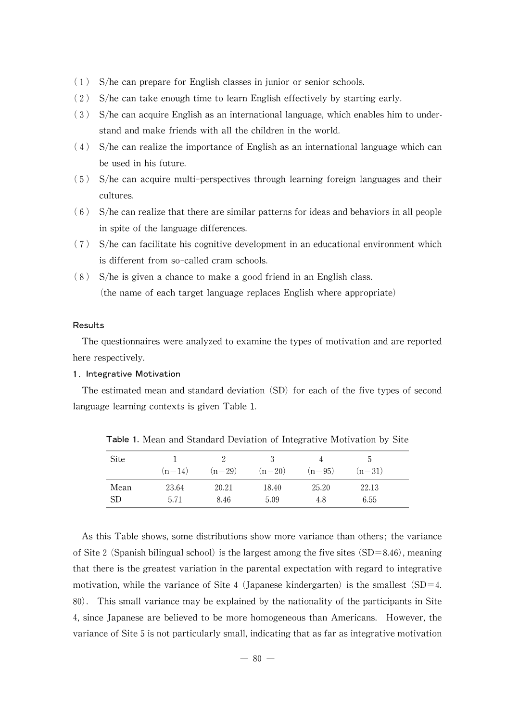- (1) S/he can prepare for English classes in junior or senior schools.
- (2) S/he can take enough time to learn English effectively by starting early.
- $(3)$  S/he can acquire English as an international language, which enables him to understand and make friends with all the children in the world.
- $(4)$  S/he can realize the importance of English as an international language which can be used in his future.
- (5) S/he can acquire multi-perspectives through learning foreign languages and their cultures.
- $(6)$  S/he can realize that there are similar patterns for ideas and behaviors in all people in spite of the language differences.
- (7) S/he can facilitate his cognitive development in an educational environment which is different from so-called cram schools.
- (8) S/he is given a chance to make a good friend in an English class. (the name of each target language replaces English where appropriate)

#### Results

The questionnaires were analyzed to examine the types of motivation and are reported here respectively.

### 1. Integrative Motivation

The estimated mean and standard deviation  $(SD)$  for each of the five types of second language learning contexts is given Table 1.

| Site      | $(n=14)$ | $(n=29)$ | 3<br>$(n=20)$ | Δ<br>$(n=95)$ | :5<br>$(n=31)$ |  |
|-----------|----------|----------|---------------|---------------|----------------|--|
| Mean      | 23.64    | 20.21    | 18.40         | 25.20         | 22.13          |  |
| <b>SD</b> | 5.71     | 8.46     | 5.09          | 4.8           | 6.55           |  |

Table 1. Mean and Standard Deviation of Integrative Motivation by Site

As this Table shows, some distributions show more variance than others; the variance of Site 2 (Spanish bilingual school) is the largest among the five sites (SD=8.46), meaning that there is the greatest variation in the parental expectation with regard to integrative motivation, while the variance of Site 4 (Japanese kindergarten) is the smallest  $(SD=4$ . 80). This small variance may be explained by the nationalityof the participants in Site 4, since Japanese are believed to be more homogeneous than Americans. However, the variance of Site 5 is not particularly small, indicating that as far as integrative motivation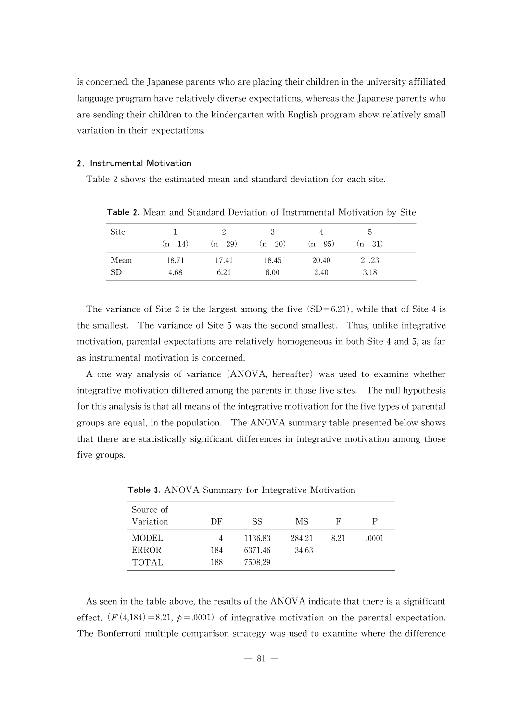is concerned, the Japanese parents who are placing their children in the university affiliated language program have relatively diverse expectations, whereas the Japanese parents who are sending their children to the kindergarten with English program show relatively small variation in their expectations.

#### 2. Instrumental Motivation

Table 2 shows the estimated mean and standard deviation for each site.

| <b>Site</b>     |          |          | 3        | 4        | b.       |  |
|-----------------|----------|----------|----------|----------|----------|--|
|                 | $(n=14)$ | $(n=29)$ | $(n=20)$ | $(n=95)$ | $(n=31)$ |  |
| Mean            | 18.71    | 17.41    | 18.45    | 20.40    | 21.23    |  |
| SD <sub>-</sub> | 4.68     | 6.21     | 6.00     | 2.40     | 3.18     |  |

Table 2.Mean and Standard Deviation of Instrumental Motivation by Site

The variance of Site 2 is the largest among the five  $(SD=6.21)$ , while that of Site 4 is the smallest. The variance of Site 5 was the second smallest. Thus, unlike integrative motivation, parental expectations are relatively homogeneous in both Site 4 and 5, as far as instrumental motivation is concerned.

A one-way analysis of variance (ANOVA, hereafter) was used to examine whether integrative motivation differed among the parents in those five sites. The null hypothesis for this analysis is that all means of the integrative motivation for the five types of parental groups are equal, in the population. The ANOVA summary table presented below shows that there are statistically significant differences in integrative motivation among those five groups.

| Source of    |     |         |        |      |       |
|--------------|-----|---------|--------|------|-------|
| Variation    | DF  | SS      | МS     | F    | Р     |
| <b>MODEL</b> |     | 1136.83 | 284.21 | 8 21 | .0001 |
| <b>ERROR</b> | 184 | 6371.46 | 34.63  |      |       |
| <b>TOTAL</b> | 188 | 7508.29 |        |      |       |

Table 3.ANOVA Summary for Integrative Motivation

As seen in the table above, the results of the ANOVA indicate that there is a significant effect,  $(F(4,184)=8.21, p=.0001)$  of integrative motivation on the parental expectation. The Bonferroni multiple comparison strategywas used to examine where the difference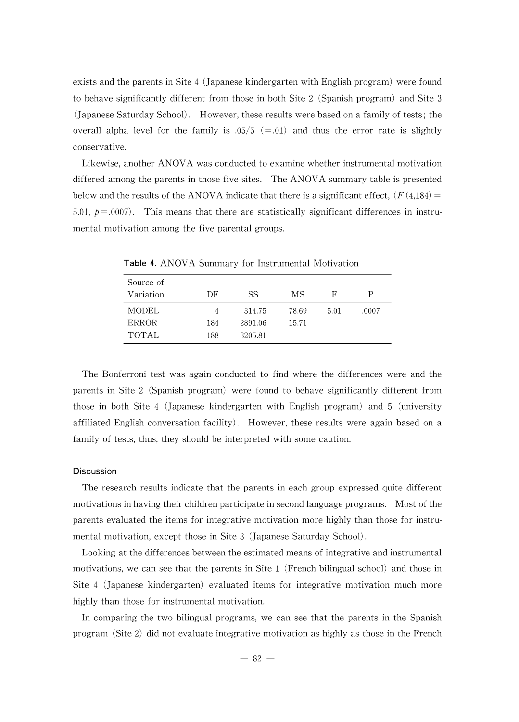exists and the parents in Site  $4$  (Japanese kindergarten with English program) were found to behave significantly different from those in both Site  $2$  (Spanish program) and Site  $3$ (Japanese Saturday School). However, these results were based on a family of tests; the overall alpha level for the family is  $.05/5$  (=.01) and thus the error rate is slightly conservative.

Likewise, another ANOVA was conducted to examine whether instrumental motivation differed among the parents in those five sites. TheANOVA summarytable is presented below and the results of the ANOVA indicate that there is a significant effect,  $(F(4,184))$ 5.01,  $p = .0007$ . This means that there are statistically significant differences in instrumental motivation among the five parental groups.

| Source of    |     |         |       |      |       |
|--------------|-----|---------|-------|------|-------|
| Variation    | DF  | SS      | MS    | F    | Р     |
| <b>MODEL</b> |     | 314.75  | 78.69 | 5.01 | .0007 |
| <b>ERROR</b> | 184 | 2891.06 | 15.71 |      |       |
| <b>TOTAL</b> | 188 | 3205.81 |       |      |       |

Table 4.ANOVA Summary for Instrumental Motivation

The Bonferroni test was again conducted to find where the differences were and the parents in Site 2 (Spanish program) were found to behave significantly different from those in both Site 4 (Japanese kindergarten with English program) and 5 (university affiliated English conversation facility). However, these results were again based on a family of tests, thus, they should be interpreted with some caution.

#### **Discussion**

The research results indicate that the parents in each group expressed quite different motivations in having their children participate in second language programs. Most of the parents evaluated the items for integrative motivation more highly than those for instrumental motivation, except those in Site 3 (Japanese Saturday School).

Looking at the differences between the estimated means of integrative and instrumental motivations, we can see that the parents in Site 1 (French bilingual school) and those in Site 4 (Japanese kindergarten) evaluated items for integrative motivation much more highly than those for instrumental motivation.

In comparing the two bilingual programs, we can see that the parents in the Spanish program (Site 2) did not evaluate integrative motivation as highly as those in the French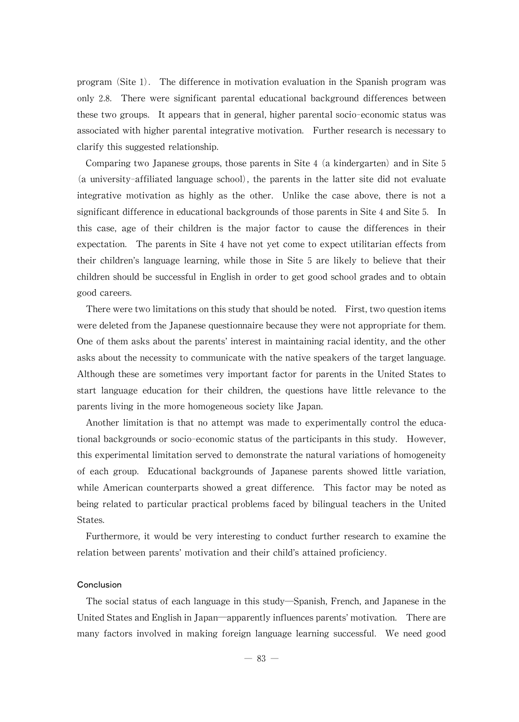program (Site 1). The difference in motivation evaluation in the Spanish program was only 2.8. There were significant parental educational background differences between these two groups. It appears that in general,higher parental socio-economic status was associated with higher parental integrative motivation. Further research is necessary to clarify this suggested relationship.

Comparing two Japanese groups, those parents in Site  $4$  (a kindergarten) and in Site  $5$ (a university-affiliated language school), the parents in the latter site did not evaluate integrative motivation as highly as the other. Unlike the case above, there is not a significant difference in educational backgrounds of those parents in Site 4 and Site 5. In this case, age of their children is the major factor to cause the differences in their expectation. The parents in Site 4have not yet come to expect utilitarian effects from their children's language learning, while those in Site 5 are likely to believe that their children should be successful in English in order to get good school grades and to obtain good careers.

There were two limitations on this study that should be noted. First, two question items were deleted from the Japanese questionnaire because they were not appropriate for them. One of them asks about the parents' interest in maintaining racial identity, and the other asks about the necessity to communicate with the native speakers of the target language. Although these are sometimes very important factor for parents in the United States to start language education for their children, the questions have little relevance to the parents living in the more homogeneous society like Japan.

Another limitation is that no attempt was made to experimentally control the educational backgrounds or socio-economic status of the participants in this study. However, this experimental limitation served to demonstrate the natural variations of homogeneity of each group. Educational backgrounds of Japanese parents showed little variation, while American counterparts showed a great difference. This factor may be noted as being related to particular practical problems faced by bilingual teachers in the United States.

Furthermore, it would be very interesting to conduct further research to examine the relation between parents'motivation and their child's attained proficiency.

### Conclusion

The social status of each language in this study—Spanish, French, and Japanese in the United States and English in Japan—apparently influences parents' motivation. There are many factors involved in making foreign language learning successful. We need good